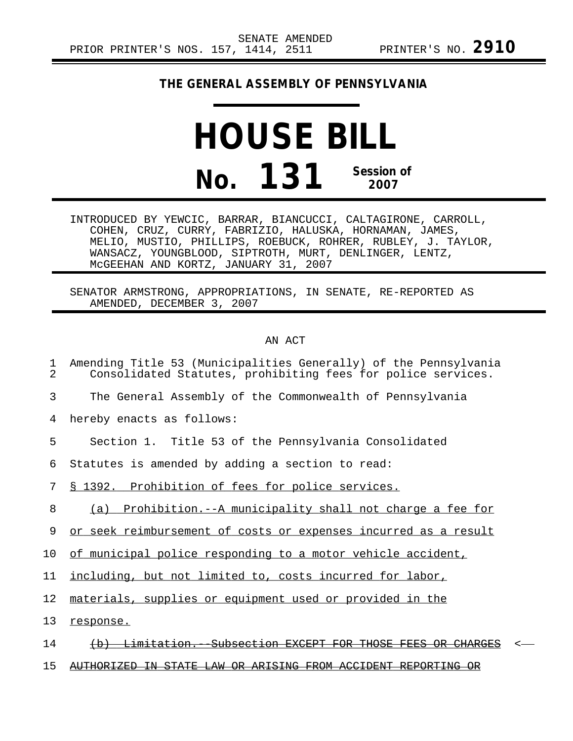## **THE GENERAL ASSEMBLY OF PENNSYLVANIA**

## **HOUSE BILL No. 131 Session of 2007**

INTRODUCED BY YEWCIC, BARRAR, BIANCUCCI, CALTAGIRONE, CARROLL, COHEN, CRUZ, CURRY, FABRIZIO, HALUSKA, HORNAMAN, JAMES, MELIO, MUSTIO, PHILLIPS, ROEBUCK, ROHRER, RUBLEY, J. TAYLOR, WANSACZ, YOUNGBLOOD, SIPTROTH, MURT, DENLINGER, LENTZ, McGEEHAN AND KORTZ, JANUARY 31, 2007

SENATOR ARMSTRONG, APPROPRIATIONS, IN SENATE, RE-REPORTED AS AMENDED, DECEMBER 3, 2007

## AN ACT

| 1<br>$\overline{a}$ | Amending Title 53 (Municipalities Generally) of the Pennsylvania<br>Consolidated Statutes, prohibiting fees for police services. |
|---------------------|----------------------------------------------------------------------------------------------------------------------------------|
| 3                   | The General Assembly of the Commonwealth of Pennsylvania                                                                         |
| 4                   | hereby enacts as follows:                                                                                                        |
| 5                   | Section 1. Title 53 of the Pennsylvania Consolidated                                                                             |
| 6                   | Statutes is amended by adding a section to read:                                                                                 |
| 7                   | § 1392. Prohibition of fees for police services.                                                                                 |
| 8                   | (a) Prohibition.--A municipality shall not charge a fee for                                                                      |
| 9                   | or seek reimbursement of costs or expenses incurred as a result                                                                  |
| 10                  | of municipal police responding to a motor vehicle accident,                                                                      |
| 11                  | including, but not limited to, costs incurred for labor,                                                                         |
| 12                  | materials, supplies or equipment used or provided in the                                                                         |
| 13                  | response.                                                                                                                        |
| 14                  | <del>Subsection EXCEPT</del><br>$\leftrightarrow$<br><del>Limitation.</del>                                                      |
| 15                  | <u>CTATE</u><br>ΑR<br>ARISING FROM                                                                                               |
|                     |                                                                                                                                  |